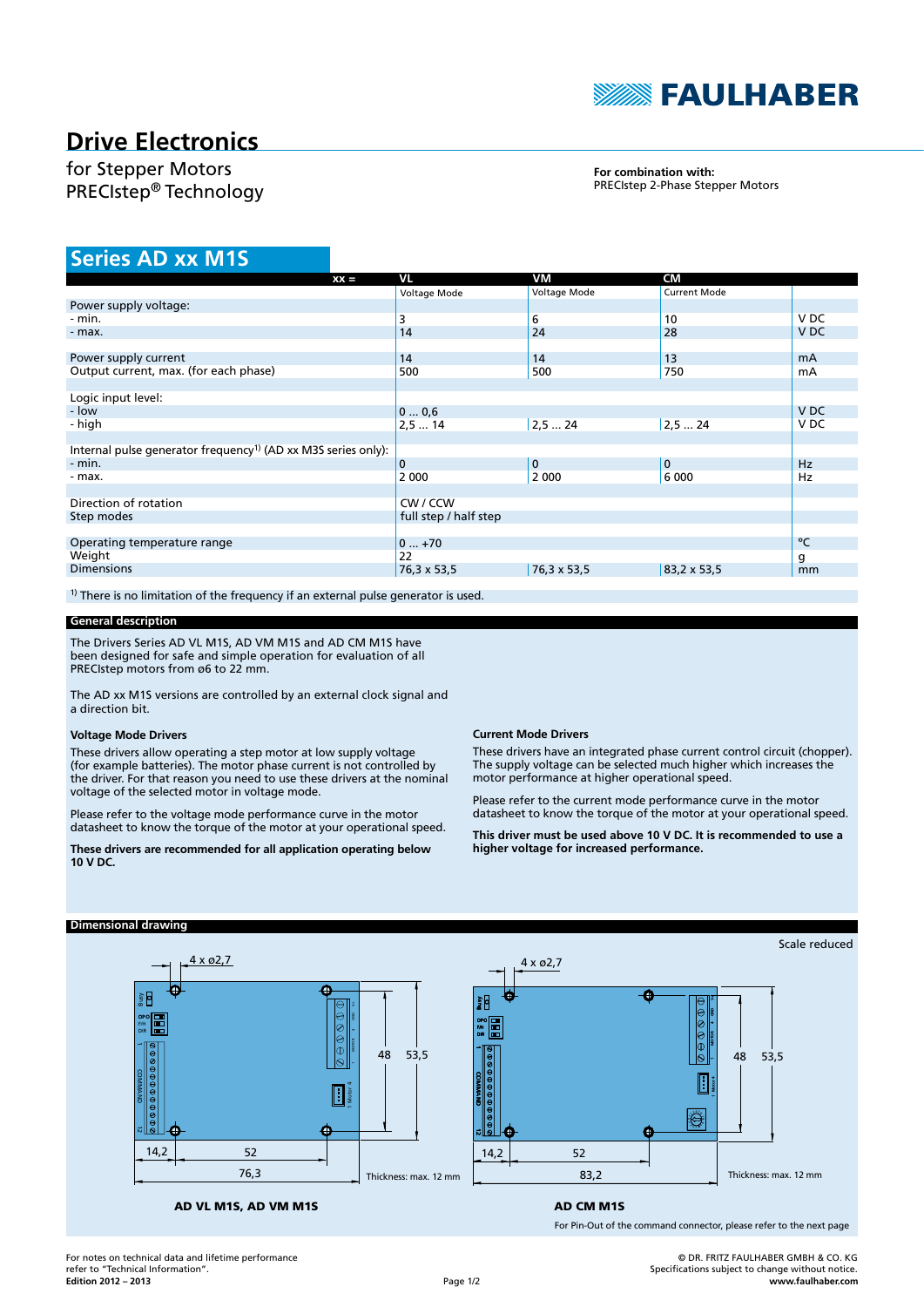

# **Drive Electronics**

# for Stepper Motors PRECIstep® Technology

## **For combination with:** PRECIstep 2-Phase Stepper Motors

# **Series AD xx M1S**

| $XX =$                                                                    | VL                    | VM           | <b>CM</b>           |                 |
|---------------------------------------------------------------------------|-----------------------|--------------|---------------------|-----------------|
|                                                                           | Voltage Mode          | Voltage Mode | <b>Current Mode</b> |                 |
| Power supply voltage:                                                     |                       |              |                     |                 |
| - min.                                                                    | 3                     | 6            | 10                  | V <sub>DC</sub> |
| - max.                                                                    | 14                    | 24           | 28                  | V <sub>DC</sub> |
|                                                                           |                       |              |                     |                 |
| Power supply current                                                      | 14                    | 14           | 13                  | mA              |
| Output current, max. (for each phase)                                     | 500                   | 500          | 750                 | mA              |
|                                                                           |                       |              |                     |                 |
| Logic input level:                                                        |                       |              |                     |                 |
| - low                                                                     | 00,6                  |              |                     | V <sub>DC</sub> |
| - high                                                                    | 2,514                 | 2,524        | 2,524               | V <sub>DC</sub> |
|                                                                           |                       |              |                     |                 |
| Internal pulse generator frequency <sup>1)</sup> (AD xx M3S series only): |                       |              |                     |                 |
| $-$ min.                                                                  | $\mathbf 0$           | $\mathbf 0$  | $\mathbf{0}$        | <b>Hz</b>       |
| - max.                                                                    | 2 0 0 0               | 2 0 0 0      | 6 0 0 0             | Hz              |
|                                                                           |                       |              |                     |                 |
| Direction of rotation                                                     | CW / CCW              |              |                     |                 |
| Step modes                                                                | full step / half step |              |                     |                 |
|                                                                           |                       |              |                     |                 |
| Operating temperature range                                               | $0+70$                |              |                     | °C              |
| Weight                                                                    | 22                    |              |                     | g               |
| <b>Dimensions</b>                                                         | 76,3 x 53,5           | 76,3 x 53,5  | 83, 2 x 53, 5       | mm              |
|                                                                           |                       |              |                     |                 |

 $1)$  There is no limitation of the frequency if an external pulse generator is used.

## **General description**

The Drivers Series AD VL M1S, AD VM M1S and AD CM M1S have been designed for safe and simple operation for evaluation of all PRECIstep motors from ø6 to 22 mm.

The AD xx M1S versions are controlled by an external clock signal and a direction bit.

#### **Voltage Mode Drivers**

**Dimensional drawing**

These drivers allow operating a step motor at low supply voltage (for example batteries). The motor phase current is not controlled by the driver. For that reason you need to use these drivers at the nominal voltage of the selected motor in voltage mode.

Please refer to the voltage mode performance curve in the motor datasheet to know the torque of the motor at your operational speed.

**These drivers are recommended for all application operating below 10 V DC.**

### **Current Mode Drivers**

These drivers have an integrated phase current control circuit (chopper). The supply voltage can be selected much higher which increases the motor performance at higher operational speed.

Please refer to the current mode performance curve in the motor datasheet to know the torque of the motor at your operational speed.

**This driver must be used above 10 V DC. It is recommended to use a higher voltage for increased performance.**

#### Scale reduced 4 x ø2,7  $4 \times 62.7$  $\overline{\bullet}$ DIR<br>DIR<br>Busy 1 Motor 4  $-1$  MOTOR 4 GND V+ POPO<br>DIR<br>DIR GND V+ OPO 1 COMMAND 12 F/H  $\frac{1}{2}$   $\frac{1}{2}$   $\frac{1}{2}$   $\frac{1}{2}$  $\frac{1}{2}$   $\frac{1}{2}$   $\frac{1}{2}$ 1 MOTOR 4 48 53,5 48 53,5 Н A 1 Motor 4 Ó 4 14,2 14,2 52 52 76,3 Thickness: max. 12 mm Thickness: max. 12 mm 83,2

AD VL M1S, AD VM M1S

# AD CM M1S

For Pin-Out of the command connector, please refer to the next page